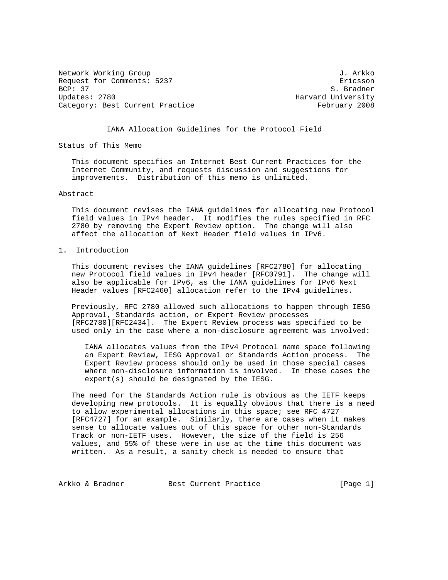Network Working Group 3. Arkko J. Arkko Request for Comments: 5237 Ericsson<br>BCP: 37 S. Bradner Updates: 2780 **Harvard University** Category: Best Current Practice February 2008

S. Bradner

IANA Allocation Guidelines for the Protocol Field

Status of This Memo

 This document specifies an Internet Best Current Practices for the Internet Community, and requests discussion and suggestions for improvements. Distribution of this memo is unlimited.

## Abstract

 This document revises the IANA guidelines for allocating new Protocol field values in IPv4 header. It modifies the rules specified in RFC 2780 by removing the Expert Review option. The change will also affect the allocation of Next Header field values in IPv6.

## 1. Introduction

 This document revises the IANA guidelines [RFC2780] for allocating new Protocol field values in IPv4 header [RFC0791]. The change will also be applicable for IPv6, as the IANA guidelines for IPv6 Next Header values [RFC2460] allocation refer to the IPv4 guidelines.

 Previously, RFC 2780 allowed such allocations to happen through IESG Approval, Standards action, or Expert Review processes [RFC2780][RFC2434]. The Expert Review process was specified to be used only in the case where a non-disclosure agreement was involved:

 IANA allocates values from the IPv4 Protocol name space following an Expert Review, IESG Approval or Standards Action process. The Expert Review process should only be used in those special cases where non-disclosure information is involved. In these cases the expert(s) should be designated by the IESG.

 The need for the Standards Action rule is obvious as the IETF keeps developing new protocols. It is equally obvious that there is a need to allow experimental allocations in this space; see RFC 4727 [RFC4727] for an example. Similarly, there are cases when it makes sense to allocate values out of this space for other non-Standards Track or non-IETF uses. However, the size of the field is 256 values, and 55% of these were in use at the time this document was written. As a result, a sanity check is needed to ensure that

Arkko & Bradner Best Current Practice [Page 1]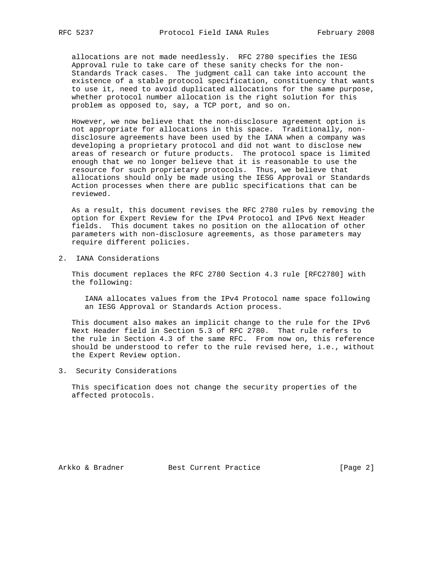allocations are not made needlessly. RFC 2780 specifies the IESG Approval rule to take care of these sanity checks for the non- Standards Track cases. The judgment call can take into account the existence of a stable protocol specification, constituency that wants to use it, need to avoid duplicated allocations for the same purpose, whether protocol number allocation is the right solution for this problem as opposed to, say, a TCP port, and so on.

 However, we now believe that the non-disclosure agreement option is not appropriate for allocations in this space. Traditionally, non disclosure agreements have been used by the IANA when a company was developing a proprietary protocol and did not want to disclose new areas of research or future products. The protocol space is limited enough that we no longer believe that it is reasonable to use the resource for such proprietary protocols. Thus, we believe that allocations should only be made using the IESG Approval or Standards Action processes when there are public specifications that can be reviewed.

 As a result, this document revises the RFC 2780 rules by removing the option for Expert Review for the IPv4 Protocol and IPv6 Next Header fields. This document takes no position on the allocation of other parameters with non-disclosure agreements, as those parameters may require different policies.

2. IANA Considerations

 This document replaces the RFC 2780 Section 4.3 rule [RFC2780] with the following:

 IANA allocates values from the IPv4 Protocol name space following an IESG Approval or Standards Action process.

 This document also makes an implicit change to the rule for the IPv6 Next Header field in Section 5.3 of RFC 2780. That rule refers to the rule in Section 4.3 of the same RFC. From now on, this reference should be understood to refer to the rule revised here, i.e., without the Expert Review option.

3. Security Considerations

 This specification does not change the security properties of the affected protocols.

Arkko & Bradner Best Current Practice [Page 2]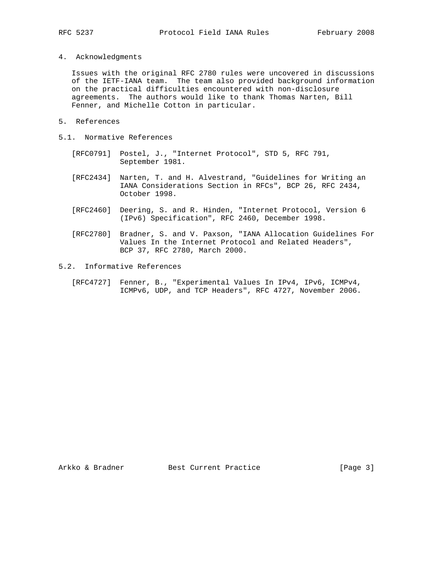4. Acknowledgments

 Issues with the original RFC 2780 rules were uncovered in discussions of the IETF-IANA team. The team also provided background information on the practical difficulties encountered with non-disclosure agreements. The authors would like to thank Thomas Narten, Bill Fenner, and Michelle Cotton in particular.

- 5. References
- 5.1. Normative References
	- [RFC0791] Postel, J., "Internet Protocol", STD 5, RFC 791, September 1981.
	- [RFC2434] Narten, T. and H. Alvestrand, "Guidelines for Writing an IANA Considerations Section in RFCs", BCP 26, RFC 2434, October 1998.
	- [RFC2460] Deering, S. and R. Hinden, "Internet Protocol, Version 6 (IPv6) Specification", RFC 2460, December 1998.
	- [RFC2780] Bradner, S. and V. Paxson, "IANA Allocation Guidelines For Values In the Internet Protocol and Related Headers", BCP 37, RFC 2780, March 2000.
- 5.2. Informative References
	- [RFC4727] Fenner, B., "Experimental Values In IPv4, IPv6, ICMPv4, ICMPv6, UDP, and TCP Headers", RFC 4727, November 2006.

Arkko & Bradner Best Current Practice [Page 3]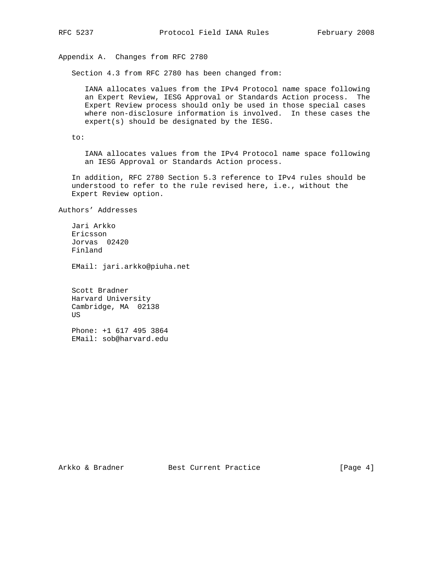Appendix A. Changes from RFC 2780

Section 4.3 from RFC 2780 has been changed from:

 IANA allocates values from the IPv4 Protocol name space following an Expert Review, IESG Approval or Standards Action process. The Expert Review process should only be used in those special cases where non-disclosure information is involved. In these cases the expert(s) should be designated by the IESG.

to:

 IANA allocates values from the IPv4 Protocol name space following an IESG Approval or Standards Action process.

 In addition, RFC 2780 Section 5.3 reference to IPv4 rules should be understood to refer to the rule revised here, i.e., without the Expert Review option.

Authors' Addresses

 Jari Arkko Ericsson Jorvas 02420 Finland

EMail: jari.arkko@piuha.net

 Scott Bradner Harvard University Cambridge, MA 02138 US

 Phone: +1 617 495 3864 EMail: sob@harvard.edu

Arkko & Bradner Best Current Practice [Page 4]